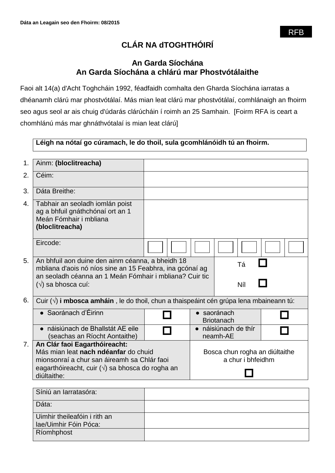# **CLÁR NA dTOGHTHÓIRÍ**

# **An Garda Síochána An Garda Síochána a chlárú mar Phostvótálaithe**

Faoi alt 14(a) d'Acht Toghcháin 1992, féadfaidh comhalta den Gharda Síochána iarratas a dhéanamh clárú mar phostvótálaí. Más mian leat clárú mar phostvótálaí, comhlánaigh an fhoirm seo agus seol ar ais chuig d'údarás clárúcháin í roimh an 25 Samhain. [Foirm RFA is ceart a chomhlánú más mar ghnáthvótalaí is mian leat clárú]

## **Léigh na nótaí go cúramach, le do thoil, sula gcomhlánóidh tú an fhoirm.**

| 1.             | Ainm: (bloclitreacha)                                                                                                                                                                                 |  |                                                     |                                  |  |
|----------------|-------------------------------------------------------------------------------------------------------------------------------------------------------------------------------------------------------|--|-----------------------------------------------------|----------------------------------|--|
| 2.             | Céim:                                                                                                                                                                                                 |  |                                                     |                                  |  |
| 3.             | Dáta Breithe:                                                                                                                                                                                         |  |                                                     |                                  |  |
| 4.             | Tabhair an seoladh iomlán poist<br>ag a bhfuil gnáthchónaí ort an 1<br>Meán Fómhair i mbliana<br>(bloclitreacha)                                                                                      |  |                                                     |                                  |  |
|                | Eircode:                                                                                                                                                                                              |  |                                                     |                                  |  |
| 5.             | An bhfuil aon duine den ainm céanna, a bheidh 18<br>mbliana d'aois nó níos sine an 15 Feabhra, ina gcónaí ag<br>an seoladh céanna an 1 Meán Fómhair i mbliana? Cuir tic<br>$(\sqrt{})$ sa bhosca cuí: |  |                                                     | Tá<br>Níl                        |  |
| 6.             | Cuir $(\sqrt{ } )$ i mbosca amháin, le do thoil, chun a thaispeáint cén grúpa lena mbaineann tú:                                                                                                      |  |                                                     |                                  |  |
|                | • Saoránach d'Éirinn                                                                                                                                                                                  |  |                                                     | · saoránach<br><b>Briotanach</b> |  |
|                | · náisiúnach de Bhallstát AE eile<br>(seachas an Ríocht Aontaithe)                                                                                                                                    |  |                                                     | • náisiúnach de thír<br>neamh-AE |  |
| 7 <sub>1</sub> | An Clár faoi Eagarthóireacht:<br>Más mian leat nach ndéanfar do chuid<br>mionsonraí a chur san áireamh sa Chlár faoi<br>eagarthóireacht, cuir $(\sqrt{})$ sa bhosca do rogha an<br>diúltaithe:        |  | Bosca chun rogha an diúltaithe<br>a chur i bhfeidhm |                                  |  |
|                | Síniú an Iarratasóra:                                                                                                                                                                                 |  |                                                     |                                  |  |
|                | Dáta:                                                                                                                                                                                                 |  |                                                     |                                  |  |

| Dáta:                        |  |
|------------------------------|--|
| Uimhir theileafóin i rith an |  |
| lae/Uimhir Fóin Póca:        |  |
| Ríomhphost                   |  |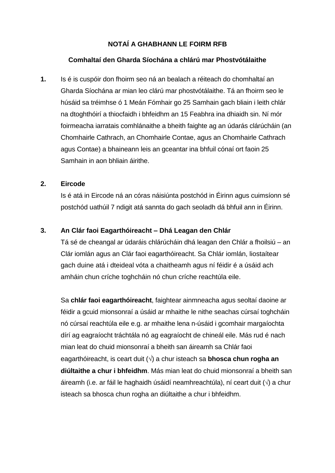# **NOTAÍ A GHABHANN LE FOIRM RFB**

## **Comhaltaí den Gharda Síochána a chlárú mar Phostvótálaithe**

**1.** Is é is cuspóir don fhoirm seo ná an bealach a réiteach do chomhaltaí an Gharda Síochána ar mian leo clárú mar phostvótálaithe. Tá an fhoirm seo le húsáid sa tréimhse ó 1 Meán Fómhair go 25 Samhain gach bliain i leith chlár na dtoghthóirí a thiocfaidh i bhfeidhm an 15 Feabhra ina dhiaidh sin. Ní mór foirmeacha iarratais comhlánaithe a bheith faighte ag an údarás clárúcháin (an Chomhairle Cathrach, an Chomhairle Contae, agus an Chomhairle Cathrach agus Contae) a bhaineann leis an gceantar ina bhfuil cónaí ort faoin 25 Samhain in aon bhliain áirithe.

#### **2. Eircode**

Is é atá in Eircode ná an córas náisiúnta postchód in Éirinn agus cuimsíonn sé postchód uathúil 7 ndigit atá sannta do gach seoladh dá bhfuil ann in Éirinn.

## **3. An Clár faoi Eagarthóireacht – Dhá Leagan den Chlár**

Tá sé de cheangal ar údaráis chlárúcháin dhá leagan den Chlár a fhoilsiú – an Clár iomlán agus an Clár faoi eagarthóireacht. Sa Chlár iomlán, liostaítear gach duine atá i dteideal vóta a chaitheamh agus ní féidir é a úsáid ach amháin chun críche toghcháin nó chun críche reachtúla eile.

Sa **chlár faoi eagarthóireacht**, faightear ainmneacha agus seoltaí daoine ar féidir a gcuid mionsonraí a úsáid ar mhaithe le nithe seachas cúrsaí toghcháin nó cúrsaí reachtúla eile e.g. ar mhaithe lena n-úsáid i gcomhair margaíochta dírí ag eagraíocht tráchtála nó ag eagraíocht de chineál eile. Más rud é nach mian leat do chuid mionsonraí a bheith san áireamh sa Chlár faoi eagarthóireacht, is ceart duit ( $\sqrt{ }$ ) a chur isteach sa **bhosca chun rogha an diúltaithe a chur i bhfeidhm**. Más mian leat do chuid mionsonraí a bheith san áireamh (i.e. ar fáil le haghaidh úsáidí neamhreachtúla), ní ceart duit  $(\sqrt{)}$  a chur isteach sa bhosca chun rogha an diúltaithe a chur i bhfeidhm.